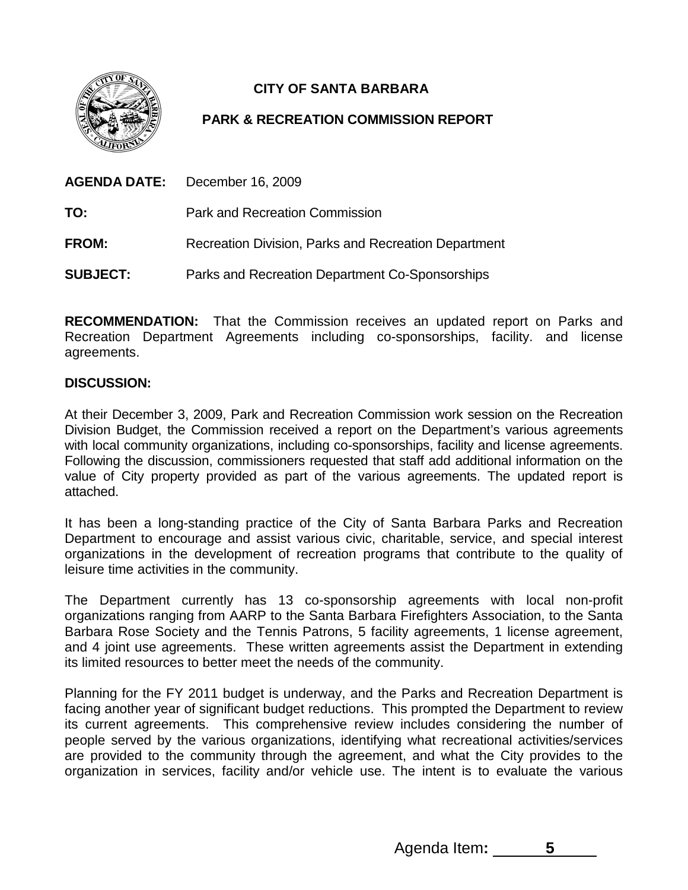

## **CITY OF SANTA BARBARA**

## **PARK & RECREATION COMMISSION REPORT**

|                 | <b>AGENDA DATE:</b> December 16, 2009                |
|-----------------|------------------------------------------------------|
| TO:             | <b>Park and Recreation Commission</b>                |
| <b>FROM:</b>    | Recreation Division, Parks and Recreation Department |
| <b>SUBJECT:</b> | Parks and Recreation Department Co-Sponsorships      |

**RECOMMENDATION:** That the Commission receives an updated report on Parks and Recreation Department Agreements including co-sponsorships, facility. and license agreements.

## **DISCUSSION:**

At their December 3, 2009, Park and Recreation Commission work session on the Recreation Division Budget, the Commission received a report on the Department's various agreements with local community organizations, including co-sponsorships, facility and license agreements. Following the discussion, commissioners requested that staff add additional information on the value of City property provided as part of the various agreements. The updated report is attached.

It has been a long-standing practice of the City of Santa Barbara Parks and Recreation Department to encourage and assist various civic, charitable, service, and special interest organizations in the development of recreation programs that contribute to the quality of leisure time activities in the community.

The Department currently has 13 co-sponsorship agreements with local non-profit organizations ranging from AARP to the Santa Barbara Firefighters Association, to the Santa Barbara Rose Society and the Tennis Patrons, 5 facility agreements, 1 license agreement, and 4 joint use agreements. These written agreements assist the Department in extending its limited resources to better meet the needs of the community.

Planning for the FY 2011 budget is underway, and the Parks and Recreation Department is facing another year of significant budget reductions. This prompted the Department to review its current agreements. This comprehensive review includes considering the number of people served by the various organizations, identifying what recreational activities/services are provided to the community through the agreement, and what the City provides to the organization in services, facility and/or vehicle use. The intent is to evaluate the various